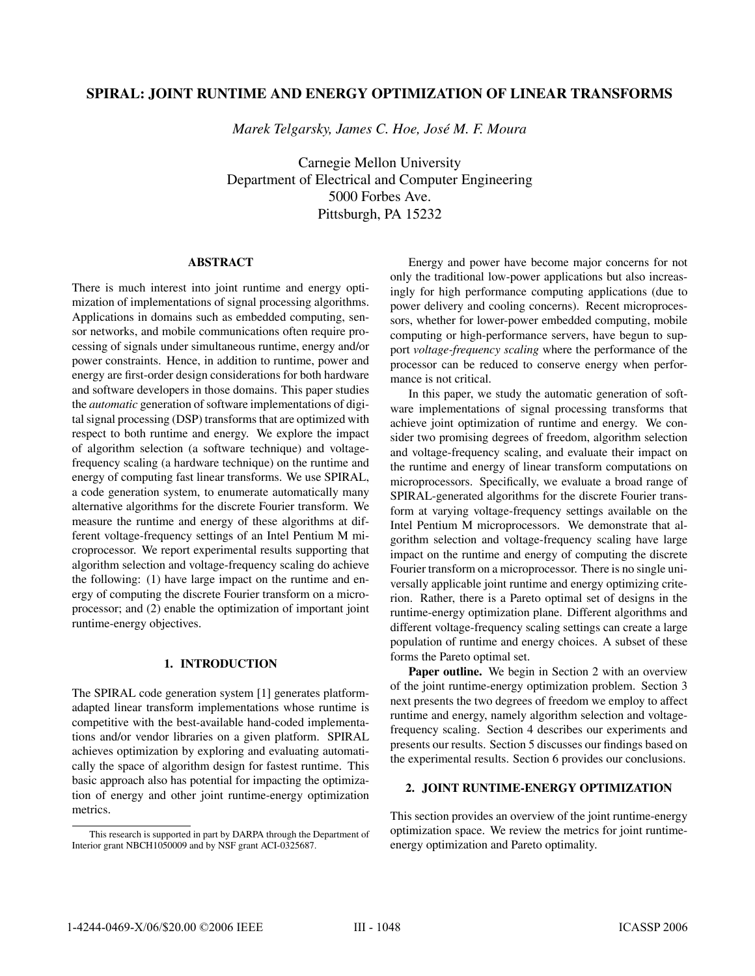# **SPIRAL: JOINT RUNTIME AND ENERGY OPTIMIZATION OF LINEAR TRANSFORMS**

*Marek Telgarsky, James C. Hoe, Jose M. F. Moura ´*

Carnegie Mellon University Department of Electrical and Computer Engineering 5000 Forbes Ave. Pittsburgh, PA 15232

## **ABSTRACT**

There is much interest into joint runtime and energy optimization of implementations of signal processing algorithms. Applications in domains such as embedded computing, sensor networks, and mobile communications often require processing of signals under simultaneous runtime, energy and/or power constraints. Hence, in addition to runtime, power and energy are first-order design considerations for both hardware and software developers in those domains. This paper studies the *automatic* generation of software implementations of digital signal processing (DSP) transforms that are optimized with respect to both runtime and energy. We explore the impact of algorithm selection (a software technique) and voltagefrequency scaling (a hardware technique) on the runtime and energy of computing fast linear transforms. We use SPIRAL, a code generation system, to enumerate automatically many alternative algorithms for the discrete Fourier transform. We measure the runtime and energy of these algorithms at different voltage-frequency settings of an Intel Pentium M microprocessor. We report experimental results supporting that algorithm selection and voltage-frequency scaling do achieve the following: (1) have large impact on the runtime and energy of computing the discrete Fourier transform on a microprocessor; and (2) enable the optimization of important joint runtime-energy objectives.

### **1. INTRODUCTION**

The SPIRAL code generation system [1] generates platformadapted linear transform implementations whose runtime is competitive with the best-available hand-coded implementations and/or vendor libraries on a given platform. SPIRAL achieves optimization by exploring and evaluating automatically the space of algorithm design for fastest runtime. This basic approach also has potential for impacting the optimization of energy and other joint runtime-energy optimization metrics.

Energy and power have become major concerns for not only the traditional low-power applications but also increasingly for high performance computing applications (due to power delivery and cooling concerns). Recent microprocessors, whether for lower-power embedded computing, mobile computing or high-performance servers, have begun to support *voltage-frequency scaling* where the performance of the processor can be reduced to conserve energy when performance is not critical.

In this paper, we study the automatic generation of software implementations of signal processing transforms that achieve joint optimization of runtime and energy. We consider two promising degrees of freedom, algorithm selection and voltage-frequency scaling, and evaluate their impact on the runtime and energy of linear transform computations on microprocessors. Specifically, we evaluate a broad range of SPIRAL-generated algorithms for the discrete Fourier transform at varying voltage-frequency settings available on the Intel Pentium M microprocessors. We demonstrate that algorithm selection and voltage-frequency scaling have large impact on the runtime and energy of computing the discrete Fourier transform on a microprocessor. There is no single universally applicable joint runtime and energy optimizing criterion. Rather, there is a Pareto optimal set of designs in the runtime-energy optimization plane. Different algorithms and different voltage-frequency scaling settings can create a large population of runtime and energy choices. A subset of these forms the Pareto optimal set.

Paper outline. We begin in Section 2 with an overview of the joint runtime-energy optimization problem. Section 3 next presents the two degrees of freedom we employ to affect runtime and energy, namely algorithm selection and voltagefrequency scaling. Section 4 describes our experiments and presents our results. Section 5 discusses our findings based on the experimental results. Section 6 provides our conclusions.

# **2. JOINT RUNTIME-ENERGY OPTIMIZATION**

This section provides an overview of the joint runtime-energy optimization space. We review the metrics for joint runtimeenergy optimization and Pareto optimality.

This research is supported in part by DARPA through the Department of Interior grant NBCH1050009 and by NSF grant ACI-0325687.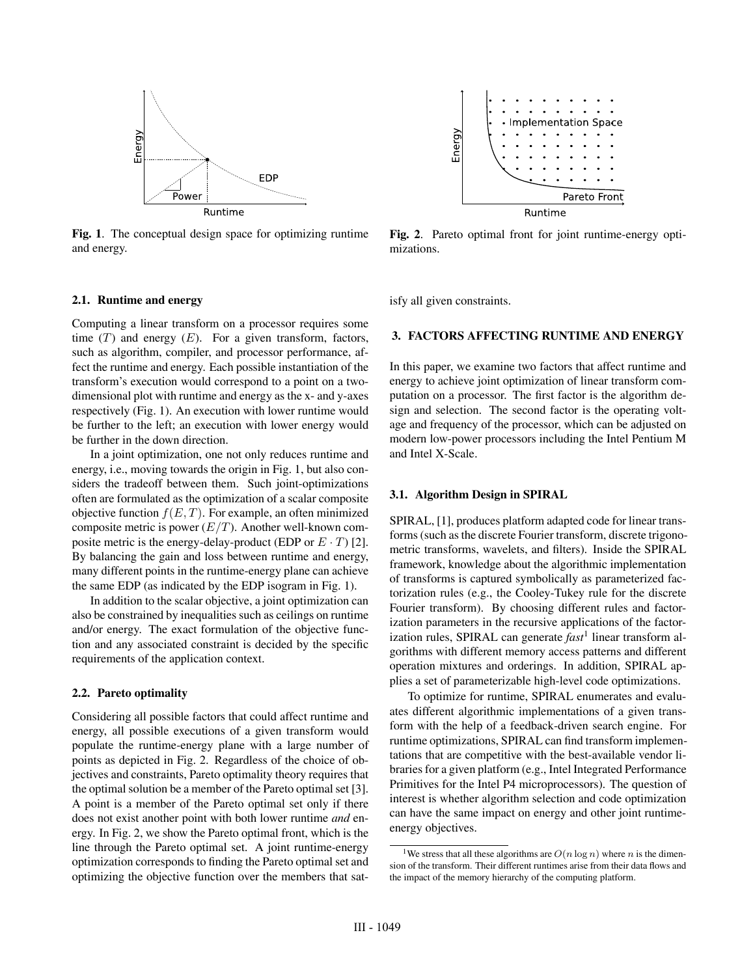

**Fig. 1**. The conceptual design space for optimizing runtime and energy.

### **2.1. Runtime and energy**

Computing a linear transform on a processor requires some time  $(T)$  and energy  $(E)$ . For a given transform, factors, such as algorithm, compiler, and processor performance, affect the runtime and energy. Each possible instantiation of the transform's execution would correspond to a point on a twodimensional plot with runtime and energy as the x- and y-axes respectively (Fig. 1). An execution with lower runtime would be further to the left; an execution with lower energy would be further in the down direction.

In a joint optimization, one not only reduces runtime and energy, i.e., moving towards the origin in Fig. 1, but also considers the tradeoff between them. Such joint-optimizations often are formulated as the optimization of a scalar composite objective function  $f(E,T)$ . For example, an often minimized composite metric is power  $(E/T)$ . Another well-known composite metric is the energy-delay-product (EDP or  $E \cdot T$ ) [2]. By balancing the gain and loss between runtime and energy, many different points in the runtime-energy plane can achieve the same EDP (as indicated by the EDP isogram in Fig. 1).

In addition to the scalar objective, a joint optimization can also be constrained by inequalities such as ceilings on runtime and/or energy. The exact formulation of the objective function and any associated constraint is decided by the specific requirements of the application context.

### **2.2. Pareto optimality**

Considering all possible factors that could affect runtime and energy, all possible executions of a given transform would populate the runtime-energy plane with a large number of points as depicted in Fig. 2. Regardless of the choice of objectives and constraints, Pareto optimality theory requires that the optimal solution be a member of the Pareto optimal set [3]. A point is a member of the Pareto optimal set only if there does not exist another point with both lower runtime *and* energy. In Fig. 2, we show the Pareto optimal front, which is the line through the Pareto optimal set. A joint runtime-energy optimization corresponds to finding the Pareto optimal set and optimizing the objective function over the members that sat-



**Fig. 2**. Pareto optimal front for joint runtime-energy optimizations.

isfy all given constraints.

### **3. FACTORS AFFECTING RUNTIME AND ENERGY**

In this paper, we examine two factors that affect runtime and energy to achieve joint optimization of linear transform computation on a processor. The first factor is the algorithm design and selection. The second factor is the operating voltage and frequency of the processor, which can be adjusted on modern low-power processors including the Intel Pentium M and Intel X-Scale.

### **3.1. Algorithm Design in SPIRAL**

SPIRAL, [1], produces platform adapted code for linear transforms (such as the discrete Fourier transform, discrete trigonometric transforms, wavelets, and filters). Inside the SPIRAL framework, knowledge about the algorithmic implementation of transforms is captured symbolically as parameterized factorization rules (e.g., the Cooley-Tukey rule for the discrete Fourier transform). By choosing different rules and factorization parameters in the recursive applications of the factorization rules, SPIRAL can generate  $fast<sup>1</sup>$  linear transform algorithms with different memory access patterns and different operation mixtures and orderings. In addition, SPIRAL applies a set of parameterizable high-level code optimizations.

To optimize for runtime, SPIRAL enumerates and evaluates different algorithmic implementations of a given transform with the help of a feedback-driven search engine. For runtime optimizations, SPIRAL can find transform implementations that are competitive with the best-available vendor libraries for a given platform (e.g., Intel Integrated Performance Primitives for the Intel P4 microprocessors). The question of interest is whether algorithm selection and code optimization can have the same impact on energy and other joint runtimeenergy objectives.

<sup>&</sup>lt;sup>1</sup>We stress that all these algorithms are  $O(n \log n)$  where n is the dimension of the transform. Their different runtimes arise from their data flows and the impact of the memory hierarchy of the computing platform.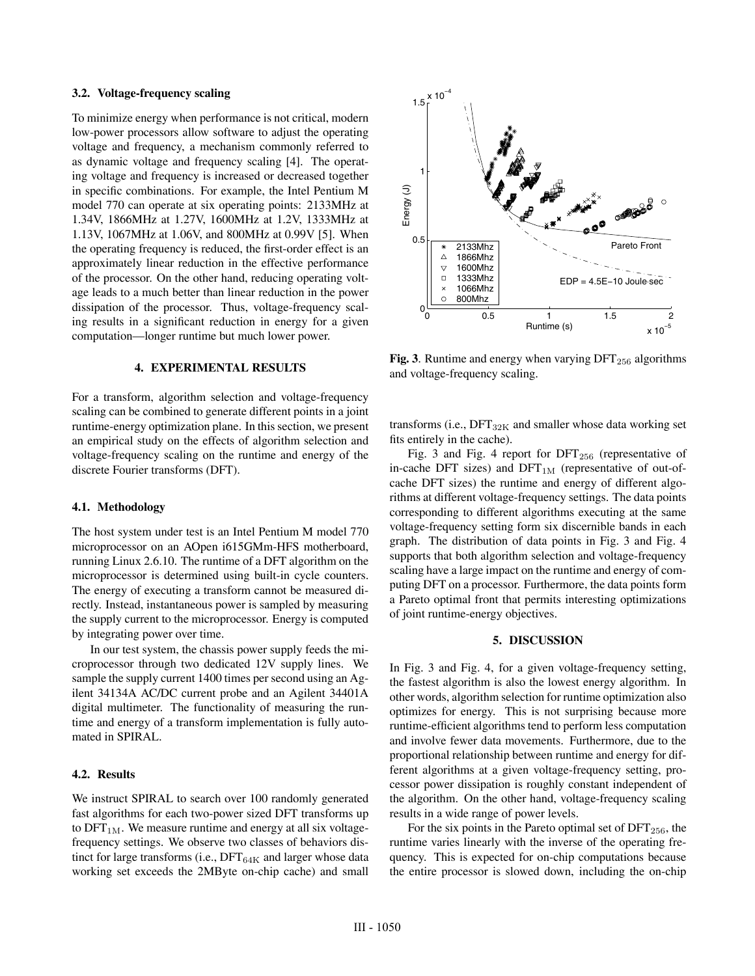## **3.2. Voltage-frequency scaling**

To minimize energy when performance is not critical, modern low-power processors allow software to adjust the operating voltage and frequency, a mechanism commonly referred to as dynamic voltage and frequency scaling [4]. The operating voltage and frequency is increased or decreased together in specific combinations. For example, the Intel Pentium M model 770 can operate at six operating points: 2133MHz at 1.34V, 1866MHz at 1.27V, 1600MHz at 1.2V, 1333MHz at 1.13V, 1067MHz at 1.06V, and 800MHz at 0.99V [5]. When the operating frequency is reduced, the first-order effect is an approximately linear reduction in the effective performance of the processor. On the other hand, reducing operating voltage leads to a much better than linear reduction in the power dissipation of the processor. Thus, voltage-frequency scaling results in a significant reduction in energy for a given computation—longer runtime but much lower power.

#### **4. EXPERIMENTAL RESULTS**

For a transform, algorithm selection and voltage-frequency scaling can be combined to generate different points in a joint runtime-energy optimization plane. In this section, we present an empirical study on the effects of algorithm selection and voltage-frequency scaling on the runtime and energy of the discrete Fourier transforms (DFT).

#### **4.1. Methodology**

The host system under test is an Intel Pentium M model 770 microprocessor on an AOpen i615GMm-HFS motherboard, running Linux 2.6.10. The runtime of a DFT algorithm on the microprocessor is determined using built-in cycle counters. The energy of executing a transform cannot be measured directly. Instead, instantaneous power is sampled by measuring the supply current to the microprocessor. Energy is computed by integrating power over time.

In our test system, the chassis power supply feeds the microprocessor through two dedicated 12V supply lines. We sample the supply current 1400 times per second using an Agilent 34134A AC/DC current probe and an Agilent 34401A digital multimeter. The functionality of measuring the runtime and energy of a transform implementation is fully automated in SPIRAL.

## **4.2. Results**

We instruct SPIRAL to search over 100 randomly generated fast algorithms for each two-power sized DFT transforms up to  $DFT<sub>1M</sub>$ . We measure runtime and energy at all six voltagefrequency settings. We observe two classes of behaviors distinct for large transforms (i.e.,  $DFT_{64K}$  and larger whose data working set exceeds the 2MByte on-chip cache) and small



Fig. 3. Runtime and energy when varying  $DFT<sub>256</sub>$  algorithms and voltage-frequency scaling.

transforms (i.e.,  $DFT_{32K}$  and smaller whose data working set fits entirely in the cache).

Fig. 3 and Fig. 4 report for  $DFT<sub>256</sub>$  (representative of in-cache DFT sizes) and  $DFT<sub>1M</sub>$  (representative of out-ofcache DFT sizes) the runtime and energy of different algorithms at different voltage-frequency settings. The data points corresponding to different algorithms executing at the same voltage-frequency setting form six discernible bands in each graph. The distribution of data points in Fig. 3 and Fig. 4 supports that both algorithm selection and voltage-frequency scaling have a large impact on the runtime and energy of computing DFT on a processor. Furthermore, the data points form a Pareto optimal front that permits interesting optimizations of joint runtime-energy objectives.

### **5. DISCUSSION**

In Fig. 3 and Fig. 4, for a given voltage-frequency setting, the fastest algorithm is also the lowest energy algorithm. In other words, algorithm selection for runtime optimization also optimizes for energy. This is not surprising because more runtime-efficient algorithms tend to perform less computation and involve fewer data movements. Furthermore, due to the proportional relationship between runtime and energy for different algorithms at a given voltage-frequency setting, processor power dissipation is roughly constant independent of the algorithm. On the other hand, voltage-frequency scaling results in a wide range of power levels.

For the six points in the Pareto optimal set of  $DFT<sub>256</sub>$ , the runtime varies linearly with the inverse of the operating frequency. This is expected for on-chip computations because the entire processor is slowed down, including the on-chip